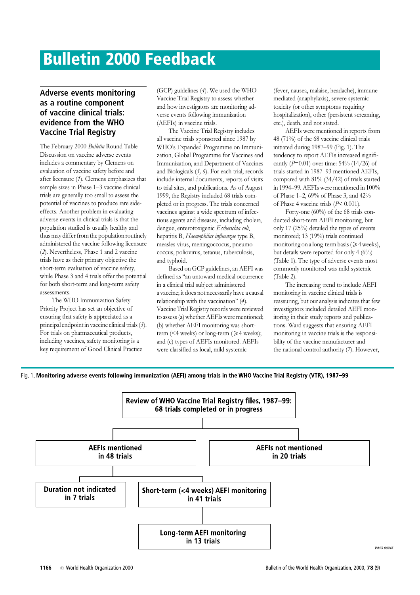## Bulletin 2000 Feedback

## Adverse events monitoring as a routine component of vaccine clinical trials: evidence from the WHO Vaccine Trial Registry

The February 2000 Bulletin Round Table Discussion on vaccine adverse events includes a commentary by Clemens on evaluation of vaccine safety before and after licensure (1). Clemens emphasizes that sample sizes in Phase 1-3 vaccine clinical trials are generally too small to assess the potential of vaccines to produce rare sideeffects. Another problem in evaluating adverse events in clinical trials is that the population studied is usually healthy and thus may differ from the population routinely administered the vaccine following licensure (2). Nevertheless, Phase 1and 2 vaccine trials have as their primary objective the short-term evaluation of vaccine safety, while Phase 3 and 4 trials offer the potential for both short-term and long-term safety assessments.

The WHO Immunization Safety Priority Project has set an objective of ensuring that safety is appreciated as a principal endpoint in vaccine clinical trials (3). For trials on pharmaceutical products, including vaccines, safety monitoring is a key requirement of Good Clinical Practice

(GCP) guidelines (4). We used the WHO Vaccine Trial Registry to assess whether and how investigators are monitoring adverse events following immunization (AEFIs) in vaccine trials.

The Vaccine Trial Registry includes all vaccine trials sponsored since 1987 by WHO's Expanded Programme on Immunization, Global Programme for Vaccines and Immunization, and Department of Vaccines and Biologicals (5, 6). For each trial, records include internal documents, reports of visits to trial sites, and publications. As of August 1999, the Registry included 68 trials completed or in progress. The trials concerned vaccines against a wide spectrum of infectious agents and diseases, including cholera, dengue, enterotoxigenic Escherichia coli, hepatitis B, Haemophilus influenzae type B, measles virus, meningoccocus, pneumococcus, poliovirus, tetanus, tuberculosis, and typhoid.

Based on GCP guidelines, an AEFI was defined as ''an untoward medical occurrence in a clinical trial subject administered a vaccine; it does not necessarily have a causal relationship with the vaccination'' (4). Vaccine Trial Registry records were reviewed to assess (a) whether AEFIs were mentioned; (b) whether AEFI monitoring was shortterm (<4 weeks) or long-term ( $\geq 4$  weeks); and (c) types of AEFIs monitored. AEFIs were classified as local, mild systemic

(fever, nausea, malaise, headache), immunemediated (anaphylaxis), severe systemic toxicity (or other symptoms requiring hospitalization), other (persistent screaming, etc.), death, and not stated.

AEFIs were mentioned in reports from 48 (71%) of the 68 vaccine clinical trials initiated during 1987–99 (Fig. 1). The tendency to report AEFIs increased significantly ( $P=0.01$ ) over time: 54% (14/26) of trials started in 1987–93 mentioned AEFIs, compared with 81% (34/42) of trials started in 1994–99. AEFIs were mentioned in 100% of Phase 1–2, 69% of Phase 3, and 42% of Phase 4 vaccine trials (P< 0.001).

Forty-one (60%) of the 68 trials conducted short-term AEFI monitoring, but only 17 (25%) detailed the types of events monitored; 13 (19%) trials continued monitoring on a long-term basis ( $\geq 4$  weeks), but details were reported for only 4 (6%) (Table 1). The type of adverse events most commonly monitored was mild systemic (Table 2).

The increasing trend to include AEFI monitoring in vaccine clinical trials is reassuring, but our analysis indicates that few investigators included detailed AEFI monitoring in their study reports and publications. Ward suggests that ensuring AEFI monitoring in vaccine trials is the responsibility of the vaccine manufacturer and the national control authority (7). However,